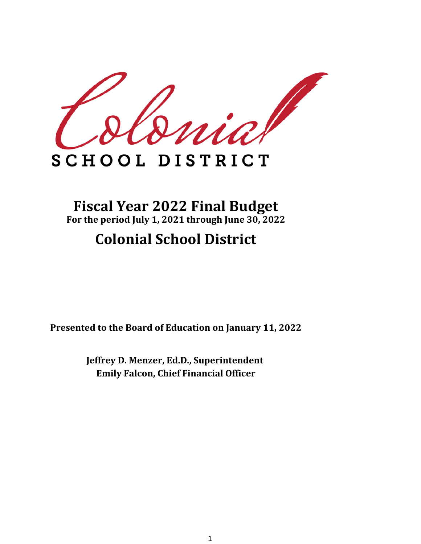

# SCHOOL DISTRICT

# **Fiscal Year 2022 Final Budget For the period July 1, 2021 through June 30, 2022**

# **Colonial School District**

**Presented to the Board of Education on January 11, 2022**

**Emily Falcon, Chief Financial Officer Jeffrey D. Menzer, Ed.D., Superintendent**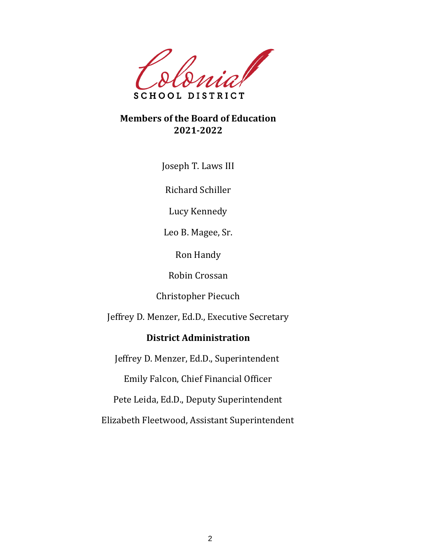

### **Members of the Board of Education 2021-2022**

Joseph T. Laws III

Richard Schiller

Lucy Kennedy

Leo B. Magee, Sr.

Ron Handy

Robin Crossan

Christopher Piecuch

Jeffrey D. Menzer, Ed.D., Executive Secretary

### **District Administration**

Jeffrey D. Menzer, Ed.D., Superintendent

Emily Falcon, Chief Financial Officer

Pete Leida, Ed.D., Deputy Superintendent

Elizabeth Fleetwood, Assistant Superintendent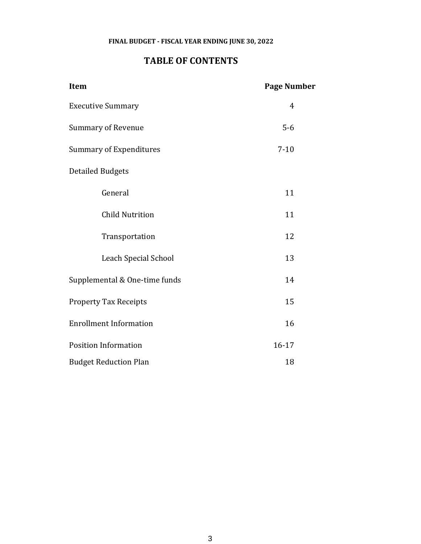#### **FINAL BUDGET - FISCAL YEAR ENDING JUNE 30, 2022**

### **TABLE OF CONTENTS**

| Item                           | <b>Page Number</b> |
|--------------------------------|--------------------|
| <b>Executive Summary</b>       | $\overline{4}$     |
| <b>Summary of Revenue</b>      | $5-6$              |
| <b>Summary of Expenditures</b> | $7 - 10$           |
| <b>Detailed Budgets</b>        |                    |
| General                        | 11                 |
| <b>Child Nutrition</b>         | 11                 |
| Transportation                 | 12                 |
| <b>Leach Special School</b>    | 13                 |
| Supplemental & One-time funds  | 14                 |
| <b>Property Tax Receipts</b>   | 15                 |
| <b>Enrollment Information</b>  | 16                 |
| <b>Position Information</b>    | $16 - 17$          |
| <b>Budget Reduction Plan</b>   | 18                 |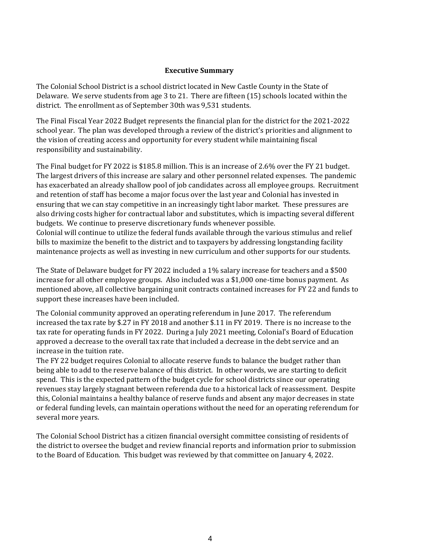#### **Executive Summary**

The Colonial School District is a school district located in New Castle County in the State of Delaware. We serve students from age 3 to 21. There are fifteen (15) schools located within the district. The enrollment as of September 30th was 9,531 students.

The Final Fiscal Year 2022 Budget represents the financial plan for the district for the 2021-2022 school year. The plan was developed through a review of the district's priorities and alignment to the vision of creating access and opportunity for every student while maintaining fiscal responsibility and sustainability.

The Final budget for FY 2022 is \$185.8 million. This is an increase of 2.6% over the FY 21 budget. The largest drivers of this increase are salary and other personnel related expenses. The pandemic has exacerbated an already shallow pool of job candidates across all employee groups. Recruitment and retention of staff has become a major focus over the last year and Colonial has invested in ensuring that we can stay competitive in an increasingly tight labor market. These pressures are also driving costs higher for contractual labor and substitutes, which is impacting several different budgets. We continue to preserve discretionary funds whenever possible.

Colonial will continue to utilize the federal funds available through the various stimulus and relief bills to maximize the benefit to the district and to taxpayers by addressing longstanding facility maintenance projects as well as investing in new curriculum and other supports for our students.

The State of Delaware budget for FY 2022 included a 1% salary increase for teachers and a \$500 increase for all other employee groups. Also included was a \$1,000 one-time bonus payment. As mentioned above, all collective bargaining unit contracts contained increases for FY 22 and funds to support these increases have been included.

The Colonial community approved an operating referendum in June 2017. The referendum increased the tax rate by \$.27 in FY 2018 and another \$.11 in FY 2019. There is no increase to the tax rate for operating funds in FY 2022. During a July 2021 meeting, Colonial's Board of Education approved a decrease to the overall tax rate that included a decrease in the debt service and an increase in the tuition rate.

The FY 22 budget requires Colonial to allocate reserve funds to balance the budget rather than being able to add to the reserve balance of this district. In other words, we are starting to deficit spend. This is the expected pattern of the budget cycle for school districts since our operating revenues stay largely stagnant between referenda due to a historical lack of reassessment. Despite this, Colonial maintains a healthy balance of reserve funds and absent any major decreases in state or federal funding levels, can maintain operations without the need for an operating referendum for several more years.

The Colonial School District has a citizen financial oversight committee consisting of residents of the district to oversee the budget and review financial reports and information prior to submission to the Board of Education. This budget was reviewed by that committee on January 4, 2022.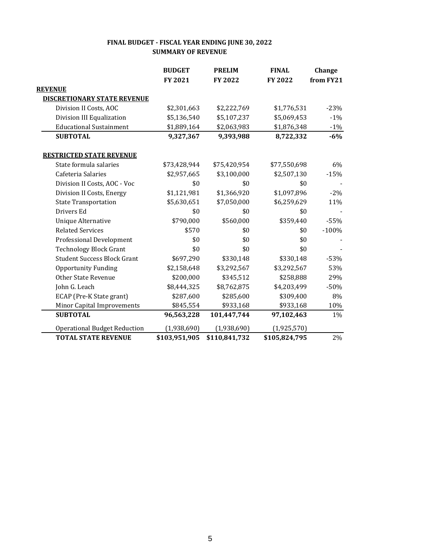|                                     | <b>BUDGET</b> | <b>PRELIM</b> | <b>FINAL</b>  | Change    |
|-------------------------------------|---------------|---------------|---------------|-----------|
|                                     | FY 2021       | FY 2022       | FY 2022       | from FY21 |
| <b>REVENUE</b>                      |               |               |               |           |
| <b>DISCRETIONARY STATE REVENUE</b>  |               |               |               |           |
| Division II Costs, AOC              | \$2,301,663   | \$2,222,769   | \$1,776,531   | $-23%$    |
| Division III Equalization           | \$5,136,540   | \$5,107,237   | \$5,069,453   | $-1%$     |
| <b>Educational Sustainment</b>      | \$1,889,164   | \$2,063,983   | \$1,876,348   | $-1%$     |
| <b>SUBTOTAL</b>                     | 9,327,367     | 9,393,988     | 8,722,332     | $-6%$     |
| <b>RESTRICTED STATE REVENUE</b>     |               |               |               |           |
| State formula salaries              | \$73,428,944  | \$75,420,954  | \$77,550,698  | 6%        |
| Cafeteria Salaries                  | \$2,957,665   | \$3,100,000   | \$2,507,130   | $-15%$    |
| Division II Costs, AOC - Voc        | \$0           | \$0           | \$0           |           |
| Division II Costs, Energy           | \$1,121,981   | \$1,366,920   | \$1,097,896   | $-2%$     |
| <b>State Transportation</b>         | \$5,630,651   | \$7,050,000   | \$6,259,629   | 11%       |
| Drivers Ed                          | \$0           | \$0           | \$0           |           |
| <b>Unique Alternative</b>           | \$790,000     | \$560,000     | \$359,440     | $-55%$    |
| <b>Related Services</b>             | \$570         | \$0           | \$0           | $-100%$   |
| Professional Development            | \$0           | \$0           | \$0           |           |
| <b>Technology Block Grant</b>       | \$0           | \$0           | \$0           |           |
| <b>Student Success Block Grant</b>  | \$697,290     | \$330,148     | \$330,148     | $-53%$    |
| <b>Opportunity Funding</b>          | \$2,158,648   | \$3,292,567   | \$3,292,567   | 53%       |
| <b>Other State Revenue</b>          | \$200,000     | \$345,512     | \$258,888     | 29%       |
| John G. Leach                       | \$8,444,325   | \$8,762,875   | \$4,203,499   | $-50%$    |
| ECAP (Pre-K State grant)            | \$287,600     | \$285,600     | \$309,400     | 8%        |
| Minor Capital Improvements          | \$845,554     | \$933,168     | \$933,168     | 10%       |
| <b>SUBTOTAL</b>                     | 96,563,228    | 101,447,744   | 97,102,463    | 1%        |
| <b>Operational Budget Reduction</b> | (1,938,690)   | (1,938,690)   | (1,925,570)   |           |
| <b>TOTAL STATE REVENUE</b>          | \$103,951,905 | \$110,841,732 | \$105,824,795 | 2%        |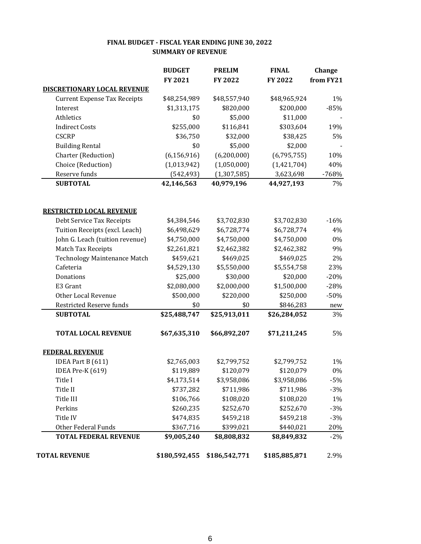| FINAL BUDGET - FISCAL YEAR ENDING JUNE 30, 2022 |
|-------------------------------------------------|
| <b>SUMMARY OF REVENUE</b>                       |

|                                     | <b>BUDGET</b> | <b>PRELIM</b> | <b>FINAL</b>  | Change    |
|-------------------------------------|---------------|---------------|---------------|-----------|
|                                     | FY 2021       | FY 2022       | FY 2022       | from FY21 |
| <b>DISCRETIONARY LOCAL REVENUE</b>  |               |               |               |           |
| <b>Current Expense Tax Receipts</b> | \$48,254,989  | \$48,557,940  | \$48,965,924  | 1%        |
| Interest                            | \$1,313,175   | \$820,000     | \$200,000     | $-85%$    |
| Athletics                           | \$0           | \$5,000       | \$11,000      |           |
| <b>Indirect Costs</b>               | \$255,000     | \$116,841     | \$303,604     | 19%       |
| <b>CSCRP</b>                        | \$36,750      | \$32,000      | \$38,425      | 5%        |
| <b>Building Rental</b>              | \$0           | \$5,000       | \$2,000       |           |
| Charter (Reduction)                 | (6, 156, 916) | (6,200,000)   | (6,795,755)   | 10%       |
| Choice (Reduction)                  | (1,013,942)   | (1,050,000)   | (1,421,704)   | 40%       |
| Reserve funds                       | (542, 493)    | (1, 307, 585) | 3,623,698     | $-768%$   |
| <b>SUBTOTAL</b>                     | 42,146,563    | 40,979,196    | 44,927,193    | 7%        |
| <b>RESTRICTED LOCAL REVENUE</b>     |               |               |               |           |
| Debt Service Tax Receipts           | \$4,384,546   | \$3,702,830   | \$3,702,830   | $-16%$    |
| Tuition Receipts (excl. Leach)      | \$6,498,629   | \$6,728,774   | \$6,728,774   | 4%        |
| John G. Leach (tuition revenue)     | \$4,750,000   | \$4,750,000   | \$4,750,000   | $0\%$     |
| Match Tax Receipts                  | \$2,261,821   | \$2,462,382   | \$2,462,382   | 9%        |
| Technology Maintenance Match        | \$459,621     | \$469,025     | \$469,025     | 2%        |
| Cafeteria                           | \$4,529,130   | \$5,550,000   | \$5,554,758   | 23%       |
| Donations                           | \$25,000      | \$30,000      | \$20,000      | $-20%$    |
| E3 Grant                            | \$2,080,000   | \$2,000,000   | \$1,500,000   | $-28%$    |
| Other Local Revenue                 | \$500,000     | \$220,000     | \$250,000     | $-50%$    |
| <b>Restricted Reserve funds</b>     | \$0           | \$0           | \$846,283     | new       |
| <b>SUBTOTAL</b>                     | \$25,488,747  | \$25,913,011  | \$26,284,052  | 3%        |
| <b>TOTAL LOCAL REVENUE</b>          | \$67,635,310  | \$66,892,207  | \$71,211,245  | 5%        |
| <b>FEDERAL REVENUE</b>              |               |               |               |           |
| IDEA Part B (611)                   | \$2,765,003   | \$2,799,752   | \$2,799,752   | 1%        |
| IDEA Pre-K (619)                    | \$119,889     | \$120,079     | \$120,079     | $0\%$     |
| Title I                             | \$4,173,514   | \$3,958,086   | \$3,958,086   | $-5%$     |
| Title II                            | \$737,282     | \$711,986     | \$711,986     | $-3%$     |
| Title III                           | \$106,766     | \$108,020     | \$108,020     | 1%        |
| Perkins                             | \$260,235     | \$252,670     | \$252,670     | $-3%$     |
| Title IV                            | \$474,835     | \$459,218     | \$459,218     | $-3%$     |
| <b>Other Federal Funds</b>          | \$367,716     | \$399,021     | \$440,021     | 20%       |
| <b>TOTAL FEDERAL REVENUE</b>        | \$9,005,240   | \$8,808,832   | \$8,849,832   | $-2%$     |
| <b>TOTAL REVENUE</b>                | \$180,592,455 | \$186,542,771 | \$185,885,871 | 2.9%      |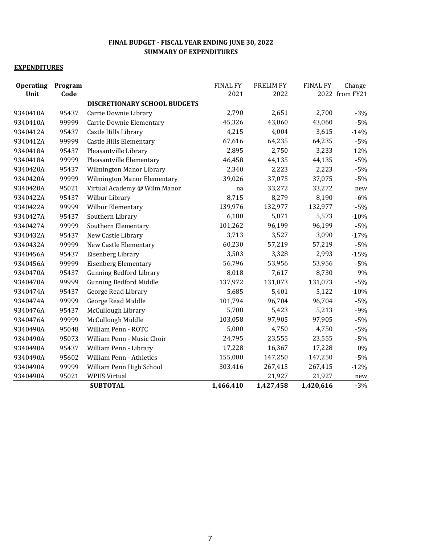| <b>Operating</b><br>Unit | Program<br>Code |                                    | <b>FINAL FY</b><br>2021 | PRELIM FY<br>2022 | <b>FINAL FY</b> | Change<br>2022 from FY21 |
|--------------------------|-----------------|------------------------------------|-------------------------|-------------------|-----------------|--------------------------|
|                          |                 | DISCRETIONARY SCHOOL BUDGETS       |                         |                   |                 |                          |
| 9340410A                 | 95437           | Carrie Downie Library              | 2,790                   | 2,651             | 2,700           | $-3%$                    |
| 9340410A                 | 99999           | Carrie Downie Elementary           | 45,326                  | 43,060            | 43,060          | $-5%$                    |
| 9340412A                 | 95437           | Castle Hills Library               | 4,215                   | 4,004             | 3,615           | $-14%$                   |
| 9340412A                 | 99999           | <b>Castle Hills Elementary</b>     | 67,616                  | 64,235            | 64,235          | $-5%$                    |
| 9340418A                 | 95437           | Pleasantville Library              | 2,895                   | 2,750             | 3,233           | 12%                      |
| 9340418A                 | 99999           | Pleasantville Elementary           | 46,458                  | 44,135            | 44,135          | $-5%$                    |
| 9340420A                 | 95437           | Wilmington Manor Library           | 2,340                   | 2,223             | 2,223           | $-5%$                    |
| 9340420A                 | 99999           | <b>Wilmington Manor Elementary</b> | 39,026                  | 37,075            | 37,075          | $-5%$                    |
| 9340420A                 | 95021           | Virtual Academy @ Wilm Manor       | na                      | 33,272            | 33,272          | new                      |
| 9340422A                 | 95437           | Wilbur Library                     | 8,715                   | 8,279             | 8,190           | $-6%$                    |
| 9340422A                 | 99999           | Wilbur Elementary                  | 139,976                 | 132,977           | 132,977         | $-5%$                    |
| 9340427A                 | 95437           | Southern Library                   | 6,180                   | 5,871             | 5,573           | $-10%$                   |
| 9340427A                 | 99999           | Southern Elementary                | 101,262                 | 96,199            | 96,199          | $-5%$                    |
| 9340432A                 | 95437           | New Castle Library                 | 3,713                   | 3,527             | 3,090           | $-17%$                   |
| 9340432A                 | 99999           | New Castle Elementary              | 60,230                  | 57,219            | 57,219          | $-5%$                    |
| 9340456A                 | 95437           | Eisenberg Library                  | 3,503                   | 3,328             | 2,993           | $-15%$                   |
| 9340456A                 | 99999           | <b>Eisenberg Elementary</b>        | 56,796                  | 53,956            | 53,956          | $-5%$                    |
| 9340470A                 | 95437           | <b>Gunning Bedford Library</b>     | 8,018                   | 7,617             | 8,730           | 9%                       |
| 9340470A                 | 99999           | <b>Gunning Bedford Middle</b>      | 137,972                 | 131,073           | 131,073         | $-5%$                    |
| 9340474A                 | 95437           | George Read Library                | 5,685                   | 5,401             | 5,122           | $-10%$                   |
| 9340474A                 | 99999           | George Read Middle                 | 101,794                 | 96,704            | 96,704          | $-5%$                    |
| 9340476A                 | 95437           | McCullough Library                 | 5,708                   | 5,423             | 5,213           | $-9%$                    |
| 9340476A                 | 99999           | McCullough Middle                  | 103,058                 | 97,905            | 97,905          | $-5%$                    |
| 9340490A                 | 95048           | William Penn - ROTC                | 5,000                   | 4,750             | 4,750           | $-5%$                    |
| 9340490A                 | 95073           | William Penn - Music Choir         | 24,795                  | 23,555            | 23,555          | $-5%$                    |
| 9340490A                 | 95437           | William Penn - Library             | 17,228                  | 16,367            | 17,228          | $0\%$                    |
| 9340490A                 | 95602           | William Penn - Athletics           | 155,000                 | 147,250           | 147,250         | $-5%$                    |
| 9340490A                 | 99999           | William Penn High School           | 303,416                 | 267,415           | 267,415         | $-12%$                   |
| 9340490A                 | 95021           | <b>WPHS Virtual</b>                |                         | 21,927            | 21,927          | new                      |
|                          |                 | <b>SUBTOTAL</b>                    | 1,466,410               | 1,427,458         | 1,420,616       | $-3%$                    |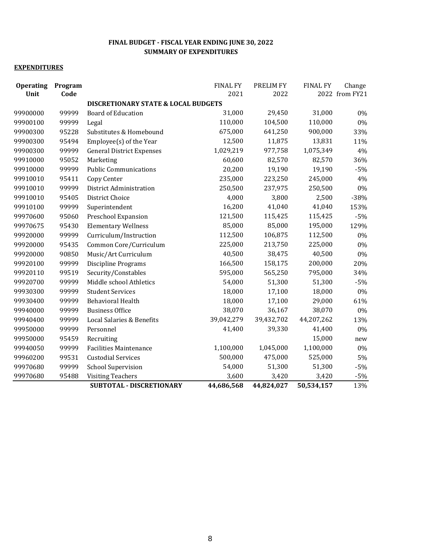| <b>Operating</b><br>Unit | Program<br>Code |                                                | <b>FINAL FY</b><br>2021 | PRELIM FY<br>2022 | <b>FINAL FY</b> | Change<br>2022 from FY21 |
|--------------------------|-----------------|------------------------------------------------|-------------------------|-------------------|-----------------|--------------------------|
|                          |                 | <b>DISCRETIONARY STATE &amp; LOCAL BUDGETS</b> |                         |                   |                 |                          |
| 99900000                 | 99999           | <b>Board of Education</b>                      | 31,000                  | 29,450            | 31,000          | 0%                       |
| 99900100                 | 99999           | Legal                                          | 110,000                 | 104,500           | 110,000         | 0%                       |
| 99900300                 | 95228           | Substitutes & Homebound                        | 675,000                 | 641,250           | 900,000         | 33%                      |
| 99900300                 | 95494           | Employee(s) of the Year                        | 12,500                  | 11,875            | 13,831          | 11%                      |
| 99900300                 | 99999           | <b>General District Expenses</b>               | 1,029,219               | 977,758           | 1,075,349       | 4%                       |
| 99910000                 | 95052           | Marketing                                      | 60,600                  | 82,570            | 82,570          | 36%                      |
| 99910000                 | 99999           | <b>Public Communications</b>                   | 20,200                  | 19,190            | 19,190          | $-5%$                    |
| 99910010                 | 95411           | Copy Center                                    | 235,000                 | 223,250           | 245,000         | 4%                       |
| 99910010                 | 99999           | District Administration                        | 250,500                 | 237,975           | 250,500         | 0%                       |
| 99910010                 | 95405           | <b>District Choice</b>                         | 4,000                   | 3,800             | 2,500           | $-38%$                   |
| 99910100                 | 99999           | Superintendent                                 | 16,200                  | 41,040            | 41,040          | 153%                     |
| 99970600                 | 95060           | Preschool Expansion                            | 121,500                 | 115,425           | 115,425         | $-5%$                    |
| 99970675                 | 95430           | <b>Elementary Wellness</b>                     | 85,000                  | 85,000            | 195,000         | 129%                     |
| 99920000                 | 99999           | Curriculum/Instruction                         | 112,500                 | 106,875           | 112,500         | 0%                       |
| 99920000                 | 95435           | Common Core/Curriculum                         | 225,000                 | 213,750           | 225,000         | 0%                       |
| 99920000                 | 90850           | Music/Art Curriculum                           | 40,500                  | 38,475            | 40,500          | 0%                       |
| 99920100                 | 99999           | Discipline Programs                            | 166,500                 | 158,175           | 200,000         | 20%                      |
| 99920110                 | 99519           | Security/Constables                            | 595,000                 | 565,250           | 795,000         | 34%                      |
| 99920700                 | 99999           | Middle school Athletics                        | 54,000                  | 51,300            | 51,300          | $-5%$                    |
| 99930300                 | 99999           | <b>Student Services</b>                        | 18,000                  | 17,100            | 18,000          | 0%                       |
| 99930400                 | 99999           | <b>Behavioral Health</b>                       | 18,000                  | 17,100            | 29,000          | 61%                      |
| 99940000                 | 99999           | <b>Business Office</b>                         | 38,070                  | 36,167            | 38,070          | 0%                       |
| 99940400                 | 99999           | Local Salaries & Benefits                      | 39,042,279              | 39,432,702        | 44,207,262      | 13%                      |
| 99950000                 | 99999           | Personnel                                      | 41,400                  | 39,330            | 41,400          | 0%                       |
| 99950000                 | 95459           | Recruiting                                     |                         |                   | 15,000          | new                      |
| 99940050                 | 99999           | <b>Facilities Maintenance</b>                  | 1,100,000               | 1,045,000         | 1,100,000       | 0%                       |
| 99960200                 | 99531           | <b>Custodial Services</b>                      | 500,000                 | 475,000           | 525,000         | 5%                       |
| 99970680                 | 99999           | School Supervision                             | 54,000                  | 51,300            | 51,300          | $-5%$                    |
| 99970680                 | 95488           | <b>Visiting Teachers</b>                       | 3,600                   | 3,420             | 3,420           | $-5%$                    |
|                          |                 | SUBTOTAL - DISCRETIONARY                       | 44,686,568              | 44,824,027        | 50,534,157      | 13%                      |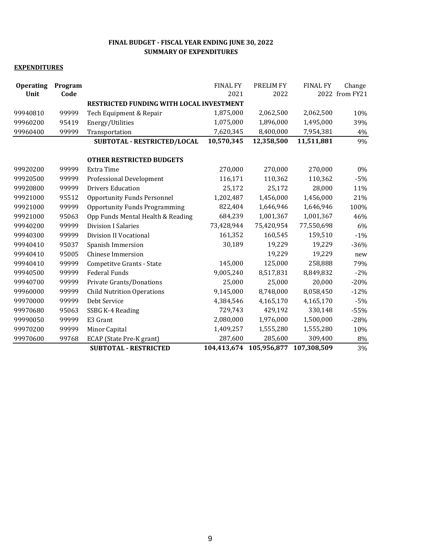| <b>Operating</b><br>Unit | Program<br>Code |                                          | <b>FINAL FY</b><br>2021 | PRELIM FY<br>2022 | <b>FINAL FY</b> | Change<br>2022 from FY21 |
|--------------------------|-----------------|------------------------------------------|-------------------------|-------------------|-----------------|--------------------------|
|                          |                 | RESTRICTED FUNDING WITH LOCAL INVESTMENT |                         |                   |                 |                          |
| 99940810                 | 99999           | Tech Equipment & Repair                  | 1,875,000               | 2,062,500         | 2,062,500       | 10%                      |
| 99960200                 | 95419           | Energy/Utilities                         | 1,075,000               | 1,896,000         | 1,495,000       | 39%                      |
| 99960400                 | 99999           | Transportation                           | 7,620,345               | 8,400,000         | 7,954,381       | 4%                       |
|                          |                 | SUBTOTAL - RESTRICTED/LOCAL              | 10,570,345              | 12,358,500        | 11,511,881      | 9%                       |
|                          |                 | <b>OTHER RESTRICTED BUDGETS</b>          |                         |                   |                 |                          |
| 99920200                 | 99999           | <b>Extra Time</b>                        | 270,000                 | 270,000           | 270,000         | $0\%$                    |
| 99920500                 | 99999           | <b>Professional Development</b>          | 116,171                 | 110,362           | 110,362         | $-5%$                    |
| 99920800                 | 99999           | <b>Drivers Education</b>                 | 25,172                  | 25,172            | 28,000          | 11%                      |
| 99921000                 | 95512           | <b>Opportunity Funds Personnel</b>       | 1,202,487               | 1,456,000         | 1,456,000       | 21%                      |
| 99921000                 | 99999           | <b>Opportunity Funds Programming</b>     | 822,404                 | 1,646,946         | 1,646,946       | 100%                     |
| 99921000                 | 95063           | Opp Funds Mental Health & Reading        | 684,239                 | 1,001,367         | 1,001,367       | 46%                      |
| 99940200                 | 99999           | <b>Division I Salaries</b>               | 73,428,944              | 75,420,954        | 77,550,698      | 6%                       |
| 99940300                 | 99999           | Division II Vocational                   | 161,352                 | 160,545           | 159,510         | $-1\%$                   |
| 99940410                 | 95037           | Spanish Immersion                        | 30,189                  | 19,229            | 19,229          | $-36%$                   |
| 99940410                 | 95005           | <b>Chinese Immersion</b>                 |                         | 19,229            | 19,229          | new                      |
| 99940410                 | 99999           | Competitve Grants - State                | 145,000                 | 125,000           | 258,888         | 79%                      |
| 99940500                 | 99999           | <b>Federal Funds</b>                     | 9,005,240               | 8,517,831         | 8,849,832       | $-2\%$                   |
| 99940700                 | 99999           | Private Grants/Donations                 | 25,000                  | 25,000            | 20,000          | $-20%$                   |
| 99960000                 | 99999           | <b>Child Nutrition Operations</b>        | 9,145,000               | 8,748,000         | 8,058,450       | $-12%$                   |
| 99970000                 | 99999           | Debt Service                             | 4,384,546               | 4,165,170         | 4,165,170       | $-5%$                    |
| 99970680                 | 95063           | SSBG K-4 Reading                         | 729,743                 | 429,192           | 330,148         | $-55%$                   |
| 99990050                 | 99999           | E3 Grant                                 | 2,080,000               | 1,976,000         | 1,500,000       | $-28%$                   |
| 99970200                 | 99999           | Minor Capital                            | 1,409,257               | 1,555,280         | 1,555,280       | 10%                      |
| 99970600                 | 99768           | ECAP (State Pre-K grant)                 | 287,600                 | 285,600           | 309,400         | 8%                       |
|                          |                 | <b>SUBTOTAL - RESTRICTED</b>             | 104,413,674             | 105,956,877       | 107,308,509     | 3%                       |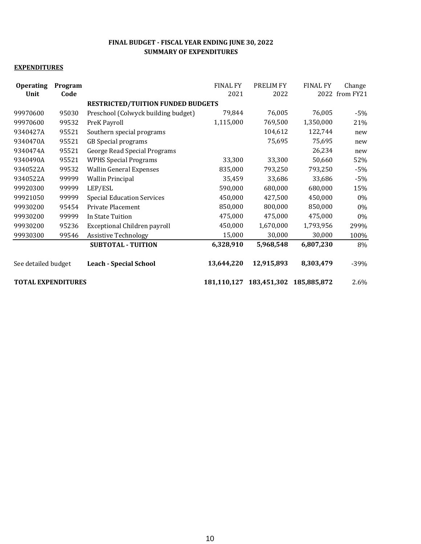| <b>Operating</b><br>Unit  | Program<br>Code |                                          | <b>FINAL FY</b><br>2021 | PRELIM FY<br>2022 | <b>FINAL FY</b> | Change<br>2022 from FY21 |
|---------------------------|-----------------|------------------------------------------|-------------------------|-------------------|-----------------|--------------------------|
|                           |                 | <b>RESTRICTED/TUITION FUNDED BUDGETS</b> |                         |                   |                 |                          |
| 99970600                  | 95030           | Preschool (Colwyck building budget)      | 79,844                  | 76,005            | 76,005          | $-5%$                    |
| 99970600                  | 99532           | PreK Payroll                             | 1,115,000               | 769,500           | 1,350,000       | 21%                      |
| 9340427A                  | 95521           | Southern special programs                |                         | 104,612           | 122,744         | new                      |
| 9340470A                  | 95521           | <b>GB</b> Special programs               |                         | 75,695            | 75,695          | new                      |
| 9340474A                  | 95521           | <b>George Read Special Programs</b>      |                         |                   | 26,234          | new                      |
| 9340490A                  | 95521           | <b>WPHS Special Programs</b>             | 33,300                  | 33,300            | 50,660          | 52%                      |
| 9340522A                  | 99532           | <b>Wallin General Expenses</b>           | 835,000                 | 793,250           | 793,250         | $-5%$                    |
| 9340522A                  | 99999           | <b>Wallin Principal</b>                  | 35,459                  | 33,686            | 33,686          | $-5%$                    |
| 99920300                  | 99999           | LEP/ESL                                  | 590,000                 | 680,000           | 680,000         | 15%                      |
| 99921050                  | 99999           | <b>Special Education Services</b>        | 450,000                 | 427,500           | 450,000         | $0\%$                    |
| 99930200                  | 95454           | Private Placement                        | 850,000                 | 800,000           | 850,000         | 0%                       |
| 99930200                  | 99999           | In State Tuition                         | 475,000                 | 475,000           | 475,000         | 0%                       |
| 99930200                  | 95236           | Exceptional Children payroll             | 450,000                 | 1,670,000         | 1,793,956       | 299%                     |
| 99930300                  | 99546           | <b>Assistive Technology</b>              | 15,000                  | 30,000            | 30,000          | 100%                     |
|                           |                 | <b>SUBTOTAL - TUITION</b>                | 6,328,910               | 5,968,548         | 6,807,230       | 8%                       |
| See detailed budget       |                 | <b>Leach - Special School</b>            | 13,644,220              | 12,915,893        | 8,303,479       | $-39%$                   |
| <b>TOTAL EXPENDITURES</b> |                 | 181,110,127                              | 183,451,302             | 185,885,872       | 2.6%            |                          |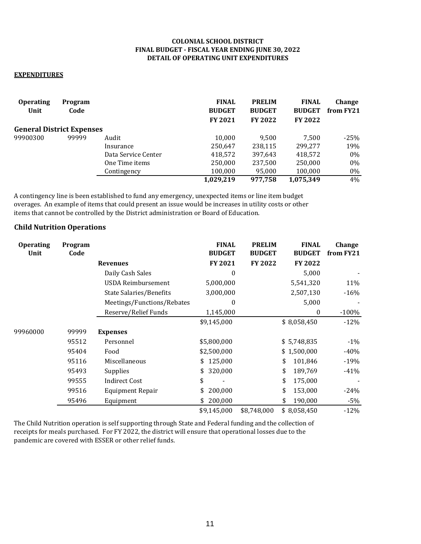#### **COLONIAL SCHOOL DISTRICT FINAL BUDGET - FISCAL YEAR ENDING JUNE 30, 2022 DETAIL OF OPERATING UNIT EXPENDITURES**

#### **EXPENDITURES**

| <b>Operating</b><br>Unit         | Program<br>Code |                     | <b>FINAL</b><br><b>BUDGET</b><br><b>FY 2021</b> | <b>PRELIM</b><br><b>BUDGET</b><br><b>FY 2022</b> | <b>FINAL</b><br><b>BUDGET</b><br><b>FY 2022</b> | Change<br>from FY21 |
|----------------------------------|-----------------|---------------------|-------------------------------------------------|--------------------------------------------------|-------------------------------------------------|---------------------|
| <b>General District Expenses</b> |                 |                     |                                                 |                                                  |                                                 |                     |
| 99900300                         | 99999           | Audit               | 10,000                                          | 9.500                                            | 7.500                                           | $-25%$              |
|                                  |                 | Insurance           | 250,647                                         | 238,115                                          | 299.277                                         | 19%                 |
|                                  |                 | Data Service Center | 418,572                                         | 397,643                                          | 418,572                                         | $0\%$               |
|                                  |                 | One Time items      | 250,000                                         | 237,500                                          | 250.000                                         | $0\%$               |
|                                  |                 | Contingency         | 100,000                                         | 95,000                                           | 100,000                                         | $0\%$               |
|                                  |                 |                     | 1,029,219                                       | 977.758                                          | 1.075.349                                       | 4%                  |

A contingency line is been established to fund any emergency, unexpected items or line item budget overages. An example of items that could present an issue would be increases in utility costs or other items that cannot be controlled by the District administration or Board of Education.

#### **Child Nutrition Operations**

| <b>Operating</b><br>Unit | Program<br>Code |                            | <b>FINAL</b><br><b>BUDGET</b> | <b>PRELIM</b><br><b>BUDGET</b> | <b>FINAL</b><br><b>BUDGET</b> | Change<br>from FY21 |
|--------------------------|-----------------|----------------------------|-------------------------------|--------------------------------|-------------------------------|---------------------|
|                          |                 | <b>Revenues</b>            | FY 2021                       | <b>FY 2022</b>                 | <b>FY 2022</b>                |                     |
|                          |                 | Daily Cash Sales           | 0                             |                                | 5,000                         |                     |
|                          |                 | <b>USDA Reimbursement</b>  | 5,000,000                     |                                | 5,541,320                     | 11%                 |
|                          |                 | State Salaries/Benefits    | 3,000,000                     |                                | 2,507,130                     | $-16%$              |
|                          |                 | Meetings/Functions/Rebates | 0                             |                                | 5,000                         |                     |
|                          |                 | Reserve/Relief Funds       | 1,145,000                     |                                | 0                             | $-100%$             |
|                          |                 |                            | \$9,145,000                   |                                | \$8,058,450                   | $-12%$              |
| 99960000                 | 99999           | <b>Expenses</b>            |                               |                                |                               |                     |
|                          | 95512           | Personnel                  | \$5,800,000                   |                                | \$5,748,835                   | $-1\%$              |
|                          | 95404           | Food                       | \$2,500,000                   |                                | \$1,500,000                   | -40%                |
|                          | 95116           | Miscellaneous              | \$125,000                     |                                | \$<br>101,846                 | $-19%$              |
|                          | 95493           | Supplies                   | 320,000<br>\$                 |                                | \$<br>189,769                 | $-41%$              |
|                          | 99555           | <b>Indirect Cost</b>       | \$                            |                                | \$<br>175,000                 |                     |
|                          | 99516           | <b>Equipment Repair</b>    | \$<br>200,000                 |                                | 153,000<br>\$                 | $-24%$              |
|                          | 95496           | Equipment                  | \$<br>200,000                 |                                | 190,000<br>\$                 | $-5%$               |
|                          |                 |                            | \$9,145,000                   | \$8,748,000                    | \$8,058,450                   | $-12%$              |

The Child Nutrition operation is self supporting through State and Federal funding and the collection of receipts for meals purchased. For FY 2022, the district will ensure that operational losses due to the pandemic are covered with ESSER or other relief funds.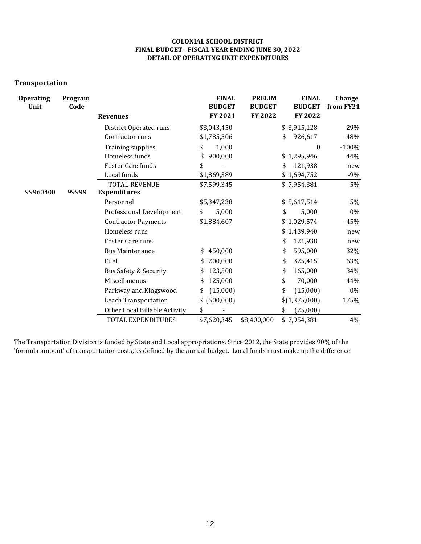#### **COLONIAL SCHOOL DISTRICT FINAL BUDGET - FISCAL YEAR ENDING JUNE 30, 2022 DETAIL OF OPERATING UNIT EXPENDITURES**

#### **Transportation**

| <b>Operating</b><br>Unit | Program<br>Code | <b>Revenues</b>               | <b>FINAL</b><br><b>BUDGET</b><br>FY 2021 | <b>PRELIM</b><br><b>BUDGET</b><br><b>FY 2022</b> | <b>FINAL</b><br><b>BUDGET</b><br><b>FY 2022</b> | Change<br>from FY21 |
|--------------------------|-----------------|-------------------------------|------------------------------------------|--------------------------------------------------|-------------------------------------------------|---------------------|
|                          |                 | District Operated runs        | \$3,043,450                              |                                                  | \$3,915,128                                     | 29%                 |
|                          |                 | Contractor runs               | \$1,785,506                              |                                                  | 926,617<br>\$                                   | $-48%$              |
|                          |                 | <b>Training supplies</b>      | 1,000<br>\$                              |                                                  | $\boldsymbol{0}$                                | $-100%$             |
|                          |                 | Homeless funds                | 900,000<br>\$                            |                                                  | \$1,295,946                                     | 44%                 |
|                          |                 | Foster Care funds             | \$                                       |                                                  | 121,938<br>\$                                   | new                 |
|                          |                 | Local funds                   | \$1,869,389                              |                                                  | \$1,694,752                                     | $-9%$               |
|                          |                 | <b>TOTAL REVENUE</b>          | \$7,599,345                              |                                                  | \$7,954,381                                     | 5%                  |
| 99960400                 | 99999           | <b>Expenditures</b>           |                                          |                                                  |                                                 |                     |
|                          |                 | Personnel                     | \$5,347,238                              |                                                  | \$5,617,514                                     | 5%                  |
|                          |                 | Professional Development      | 5,000<br>\$                              |                                                  | \$<br>5,000                                     | $0\%$               |
|                          |                 | <b>Contractor Payments</b>    | \$1,884,607                              |                                                  | \$1,029,574                                     | $-45%$              |
|                          |                 | Homeless runs                 |                                          |                                                  | \$1,439,940                                     | new                 |
|                          |                 | Foster Care runs              |                                          |                                                  | \$<br>121,938                                   | new                 |
|                          |                 | <b>Bus Maintenance</b>        | 450,000<br>\$                            |                                                  | \$<br>595,000                                   | 32%                 |
|                          |                 | Fuel                          | 200,000<br>\$                            |                                                  | \$<br>325,415                                   | 63%                 |
|                          |                 | Bus Safety & Security         | 123,500<br>\$                            |                                                  | 165,000<br>\$                                   | 34%                 |
|                          |                 | Miscellaneous                 | 125,000<br>\$                            |                                                  | \$<br>70,000                                    | $-44%$              |
|                          |                 | Parkway and Kingswood         | (15,000)<br>\$                           |                                                  | \$<br>(15,000)                                  | $0\%$               |
|                          |                 | Leach Transportation          | \$ (500,000)                             |                                                  | \$(1,375,000)                                   | 175%                |
|                          |                 | Other Local Billable Activity | \$                                       |                                                  | (25,000)<br>\$                                  |                     |
|                          |                 | TOTAL EXPENDITURES            | \$7,620,345                              | \$8,400,000                                      | \$7,954,381                                     | 4%                  |

The Transportation Division is funded by State and Local appropriations. Since 2012, the State provides 90% of the 'formula amount' of transportation costs, as defined by the annual budget. Local funds must make up the difference.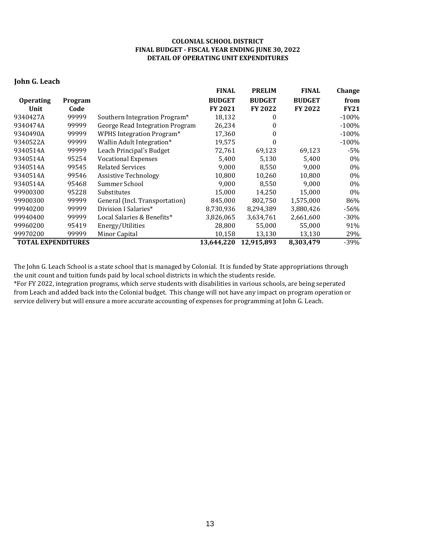#### **COLONIAL SCHOOL DISTRICT FINAL BUDGET - FISCAL YEAR ENDING JUNE 30, 2022 DETAIL OF OPERATING UNIT EXPENDITURES**

#### **John G. Leach**

|                           |                |                                  | <b>FINAL</b>   | <b>PRELIM</b>  | <b>FINAL</b>   | <b>Change</b> |
|---------------------------|----------------|----------------------------------|----------------|----------------|----------------|---------------|
| <b>Operating</b>          | <b>Program</b> |                                  | <b>BUDGET</b>  | <b>BUDGET</b>  | <b>BUDGET</b>  | from          |
| Unit                      | Code           |                                  | <b>FY 2021</b> | <b>FY 2022</b> | <b>FY 2022</b> | <b>FY21</b>   |
| 9340427A                  | 99999          | Southern Integration Program*    | 18,132         | 0              |                | $-100%$       |
| 9340474A                  | 99999          | George Read Integration Program  | 26,234         | 0              |                | $-100%$       |
| 9340490A                  | 99999          | <b>WPHS Integration Program*</b> | 17,360         | 0              |                | $-100\%$      |
| 9340522A                  | 99999          | Wallin Adult Integration*        | 19,575         | 0              |                | $-100%$       |
| 9340514A                  | 99999          | Leach Principal's Budget         | 72,761         | 69,123         | 69,123         | -5%           |
| 9340514A                  | 95254          | <b>Vocational Expenses</b>       | 5,400          | 5,130          | 5,400          | $0\%$         |
| 9340514A                  | 99545          | <b>Related Services</b>          | 9,000          | 8,550          | 9,000          | 0%            |
| 9340514A                  | 99546          | <b>Assistive Technology</b>      | 10,800         | 10,260         | 10,800         | 0%            |
| 9340514A                  | 95468          | Summer School                    | 9,000          | 8,550          | 9,000          | 0%            |
| 99900300                  | 95228          | Substitutes                      | 15,000         | 14,250         | 15,000         | 0%            |
| 99900300                  | 99999          | General (Incl. Transportation)   | 845,000        | 802,750        | 1,575,000      | 86%           |
| 99940200                  | 99999          | Division I Salaries*             | 8,730,936      | 8,294,389      | 3,880,426      | $-56%$        |
| 99940400                  | 99999          | Local Salaries & Benefits*       | 3,826,065      | 3,634,761      | 2,661,600      | -30%          |
| 99960200                  | 95419          | Energy/Utilities                 | 28,800         | 55,000         | 55,000         | 91%           |
| 99970200                  | 99999          | Minor Capital                    | 10,158         | 13,130         | 13,130         | 29%           |
| <b>TOTAL EXPENDITURES</b> |                |                                  | 13,644,220     | 12,915,893     | 8,303,479      | -39%          |

The John G. Leach School is a state school that is managed by Colonial. It is funded by State appropriations through the unit count and tuition funds paid by local school districts in which the students reside.

\*For FY 2022, integration programs, which serve students with disabilities in various schools, are being seperated from Leach and added back into the Colonial budget. This change will not have any impact on program operation or service delivery but will ensure a more accurate accounting of expenses for programming at John G. Leach.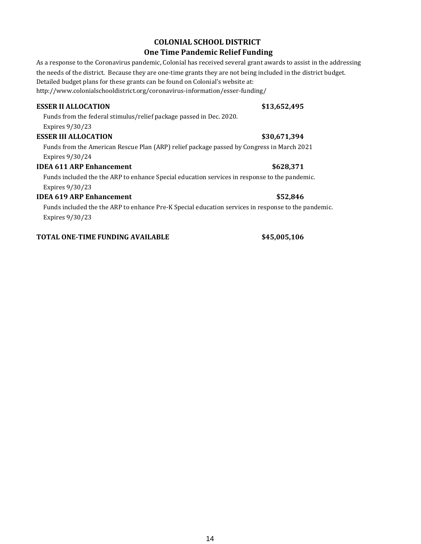### **COLONIAL SCHOOL DISTRICT**

#### **One Time Pandemic Relief Funding**

As a response to the Coronavirus pandemic, Colonial has received several grant awards to assist in the addressing the needs of the district. Because they are one-time grants they are not being included in the district budget. Detailed budget plans for these grants can be found on Colonial's website at: http://www.colonialschooldistrict.org/coronavirus-information/esser-funding/

#### **ESSER II ALLOCATION \$13,652,495**

Funds from the federal stimulus/relief package passed in Dec. 2020. Expires 9/30/23

#### **ESSER III ALLOCATION 530,671,394**

Funds from the American Rescue Plan (ARP) relief package passed by Congress in March 2021 Expires 9/30/24

#### **IDEA 611 ARP Enhancement \$628,371**

Funds included the the ARP to enhance Special education services in response to the pandemic. Expires 9/30/23

#### **IDEA 619 ARP Enhancement \$52,846**

Funds included the the ARP to enhance Pre-K Special education services in response to the pandemic. Expires 9/30/23

#### **TOTAL ONE-TIME FUNDING AVAILABLE \$45,005,106**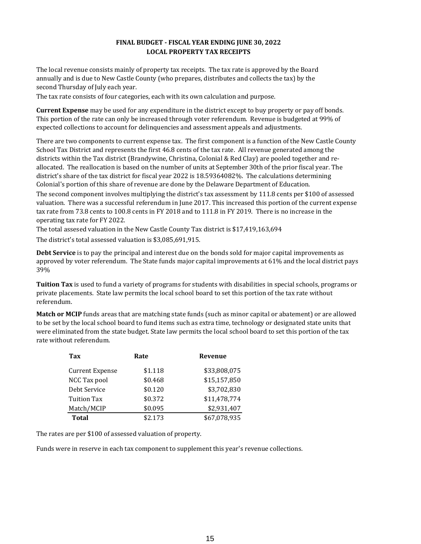#### **FINAL BUDGET - FISCAL YEAR ENDING JUNE 30, 2022 LOCAL PROPERTY TAX RECEIPTS**

The local revenue consists mainly of property tax receipts. The tax rate is approved by the Board annually and is due to New Castle County (who prepares, distributes and collects the tax) by the second Thursday of July each year.

The tax rate consists of four categories, each with its own calculation and purpose.

**Current Expense** may be used for any expenditure in the district except to buy property or pay off bonds. This portion of the rate can only be increased through voter referendum. Revenue is budgeted at 99% of expected collections to account for delinquencies and assessment appeals and adjustments.

There are two components to current expense tax. The first component is a function of the New Castle County School Tax District and represents the first 46.8 cents of the tax rate. All revenue generated among the districts within the Tax district (Brandywine, Christina, Colonial & Red Clay) are pooled together and reallocated. The reallocation is based on the number of units at September 30th of the prior fiscal year. The district's share of the tax district for fiscal year 2022 is 18.59364082%. The calculations determining Colonial's portion of this share of revenue are done by the Delaware Department of Education.

The second component involves multiplying the district's tax assessment by 111.8 cents per \$100 of assessed valuation. There was a successful referendum in June 2017. This increased this portion of the current expense tax rate from 73.8 cents to 100.8 cents in FY 2018 and to 111.8 in FY 2019. There is no increase in the operating tax rate for FY 2022.

The total assesed valuation in the New Castle County Tax district is \$17,419,163,694

The district's total assessed valuation is \$3,085,691,915.

**Debt Service** is to pay the principal and interest due on the bonds sold for major capital improvements as approved by voter referendum. The State funds major capital improvements at 61% and the local district pays 39%

**Tuition Tax** is used to fund a variety of programs for students with disabilities in special schools, programs or private placements. State law permits the local school board to set this portion of the tax rate without referendum.

**Match or MCIP** funds areas that are matching state funds (such as minor capital or abatement) or are allowed to be set by the local school board to fund items such as extra time, technology or designated state units that were eliminated from the state budget. State law permits the local school board to set this portion of the tax rate without referendum.

| Tax                | Rate    | Revenue      |
|--------------------|---------|--------------|
| Current Expense    | \$1.118 | \$33,808,075 |
| NCC Tax pool       | \$0.468 | \$15,157,850 |
| Debt Service       | \$0.120 | \$3,702,830  |
| <b>Tuition Tax</b> | \$0.372 | \$11,478,774 |
| Match/MCIP         | \$0.095 | \$2,931,407  |
| <b>Total</b>       | \$2.173 | \$67,078,935 |

The rates are per \$100 of assessed valuation of property.

Funds were in reserve in each tax component to supplement this year's revenue collections.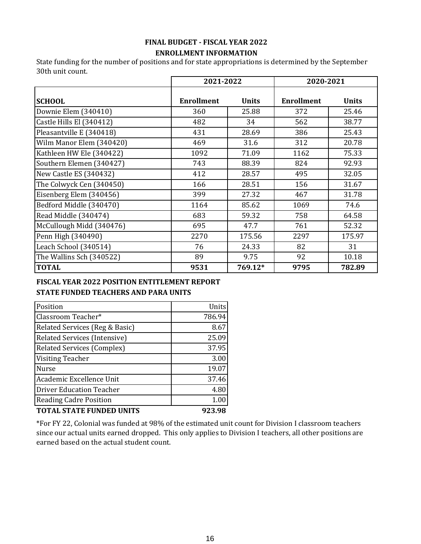## **FINAL BUDGET - FISCAL YEAR 2022**

### **ENROLLMENT INFORMATION**

State funding for the number of positions and for state appropriations is determined by the September 30th unit count.

|                          | 2021-2022         |              | 2020-2021         |              |
|--------------------------|-------------------|--------------|-------------------|--------------|
| <b>SCHOOL</b>            | <b>Enrollment</b> | <b>Units</b> | <b>Enrollment</b> | <b>Units</b> |
| Downie Elem (340410)     | 360               | 25.88        | 372               | 25.46        |
| Castle Hills El (340412) | 482               | 34           | 562               | 38.77        |
| Pleasantville E (340418) | 431               | 28.69        | 386               | 25.43        |
| Wilm Manor Elem (340420) | 469               | 31.6         | 312               | 20.78        |
| Kathleen HW Ele (340422) | 1092              | 71.09        | 1162              | 75.33        |
| Southern Elemen (340427) | 743               | 88.39        | 824               | 92.93        |
| New Castle ES (340432)   | 412               | 28.57        | 495               | 32.05        |
| The Colwyck Cen (340450) | 166               | 28.51        | 156               | 31.67        |
| Eisenberg Elem (340456)  | 399               | 27.32        | 467               | 31.78        |
| Bedford Middle (340470)  | 1164              | 85.62        | 1069              | 74.6         |
| Read Middle (340474)     | 683               | 59.32        | 758               | 64.58        |
| McCullough Midd (340476) | 695               | 47.7         | 761               | 52.32        |
| Penn High (340490)       | 2270              | 175.56       | 2297              | 175.97       |
| Leach School (340514)    | 76                | 24.33        | 82                | 31           |
| The Wallins Sch (340522) | 89                | 9.75         | 92                | 10.18        |
| <b>TOTAL</b>             | 9531              | 769.12*      | 9795              | 782.89       |

#### **STATE FUNDED TEACHERS AND PARA UNITS FISCAL YEAR 2022 POSITION ENTITLEMENT REPORT**

| Position                          | Units  |
|-----------------------------------|--------|
| Classroom Teacher*                | 786.94 |
| Related Services (Reg & Basic)    | 8.67   |
| Related Services (Intensive)      | 25.09  |
| <b>Related Services (Complex)</b> | 37.95  |
| <b>Visiting Teacher</b>           | 3.00   |
| <b>Nurse</b>                      | 19.07  |
| Academic Excellence Unit          | 37.46  |
| Driver Education Teacher          | 4.80   |
| <b>Reading Cadre Position</b>     | 1.00   |
| <b>TOTAL STATE FUNDED UNITS</b>   | 923.98 |

\*For FY 22, Colonial was funded at 98% of the estimated unit count for Division I classroom teachers since our actual units earned dropped. This only applies to Division I teachers, all other positions are earned based on the actual student count.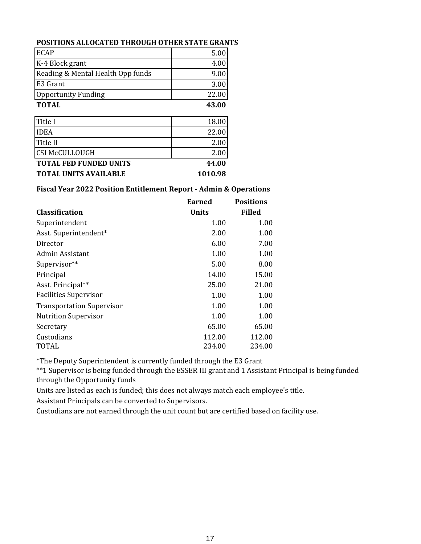#### **POSITIONS ALLOCATED THROUGH OTHER STATE GRANTS**

| <b>TOTAL UNITS AVAILABLE</b>      | 1010.98 |
|-----------------------------------|---------|
| <b>TOTAL FED FUNDED UNITS</b>     | 44.00   |
| <b>CSI McCULLOUGH</b>             | 2.00    |
| Title II                          | 2.00    |
| <b>IDEA</b>                       | 22.00   |
| Title I                           | 18.00   |
| <b>TOTAL</b>                      | 43.00   |
| <b>Opportunity Funding</b>        | 22.00   |
| E3 Grant                          | 3.00    |
| Reading & Mental Health Opp funds | 9.00    |
| K-4 Block grant                   | 4.00    |
| <b>ECAP</b>                       | 5.00    |

#### **Fiscal Year 2022 Position Entitlement Report - Admin & Operations**

| <b>Classification</b>            | <b>Earned</b><br><b>Units</b> | <b>Positions</b><br>Filled |
|----------------------------------|-------------------------------|----------------------------|
|                                  |                               |                            |
| Superintendent                   | 1.00                          | 1.00                       |
| Asst. Superintendent*            | 2.00                          | 1.00                       |
| Director                         | 6.00                          | 7.00                       |
| Admin Assistant                  | 1.00                          | 1.00                       |
| Supervisor**                     | 5.00                          | 8.00                       |
| Principal                        | 14.00                         | 15.00                      |
| Asst. Principal**                | 25.00                         | 21.00                      |
| <b>Facilities Supervisor</b>     | 1.00                          | 1.00                       |
| <b>Transportation Supervisor</b> | 1.00                          | 1.00                       |
| <b>Nutrition Supervisor</b>      | 1.00                          | 1.00                       |
| Secretary                        | 65.00                         | 65.00                      |
| Custodians                       | 112.00                        | 112.00                     |
| TOTAL                            | 234.00                        | 234.00                     |

\*The Deputy Superintendent is currently funded through the E3 Grant

\*\*1 Supervisor is being funded through the ESSER III grant and 1 Assistant Principal is being funded through the Opportunity funds

Units are listed as each is funded; this does not always match each employee's title.

Assistant Principals can be converted to Supervisors.

Custodians are not earned through the unit count but are certified based on facility use.